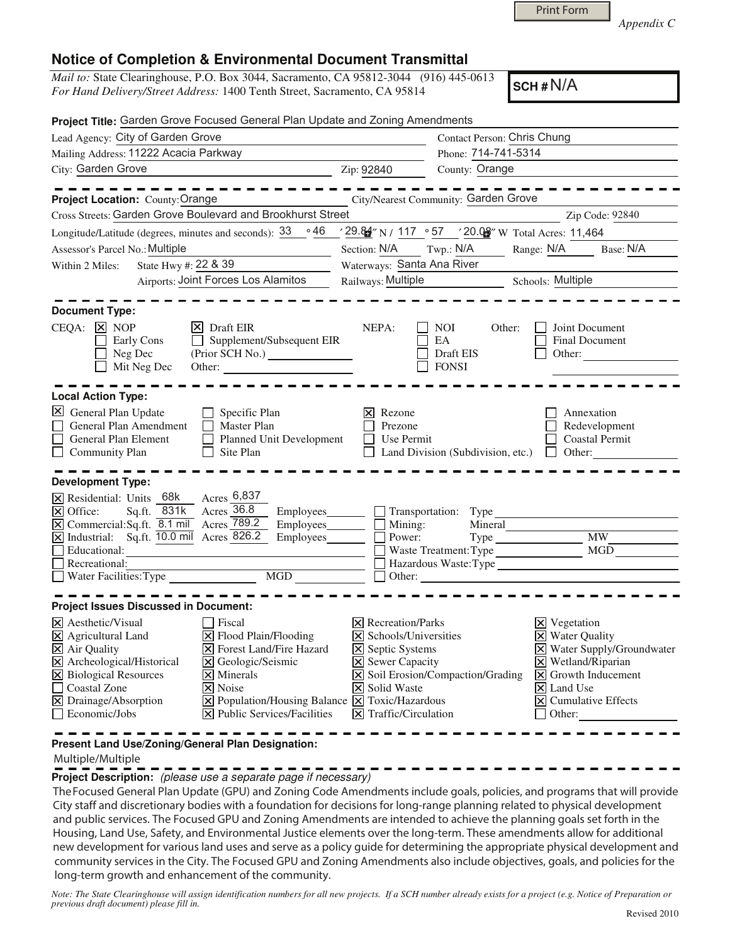*Appendix C* 

## **Notice of Completion & Environmental Document Transmittal**

*Mail to:* State Clearinghouse, P.O. Box 3044, Sacramento, CA 95812-3044 (916) 445-0613 *For Hand Delivery/Street Address:* 1400 Tenth Street, Sacramento, CA 95814

**SCH #** N/A

| Project Title: Garden Grove Focused General Plan Update and Zoning Amendments                                                                                                                                                                                                                                                                                                                                                                                                                            |                                                                                                                                                                                           |                                                                                  |                                                                                                                                                                                                                                                             |
|----------------------------------------------------------------------------------------------------------------------------------------------------------------------------------------------------------------------------------------------------------------------------------------------------------------------------------------------------------------------------------------------------------------------------------------------------------------------------------------------------------|-------------------------------------------------------------------------------------------------------------------------------------------------------------------------------------------|----------------------------------------------------------------------------------|-------------------------------------------------------------------------------------------------------------------------------------------------------------------------------------------------------------------------------------------------------------|
| Lead Agency: City of Garden Grove                                                                                                                                                                                                                                                                                                                                                                                                                                                                        | <b>Contact Person: Chris Chung</b>                                                                                                                                                        |                                                                                  |                                                                                                                                                                                                                                                             |
| Mailing Address: 11222 Acacia Parkway                                                                                                                                                                                                                                                                                                                                                                                                                                                                    |                                                                                                                                                                                           | Phone: 714-741-5314                                                              |                                                                                                                                                                                                                                                             |
| City: Garden Grove<br><u> 1990 - Johann Barbara, martin a</u>                                                                                                                                                                                                                                                                                                                                                                                                                                            | Zip: 92840                                                                                                                                                                                | County: Orange                                                                   |                                                                                                                                                                                                                                                             |
|                                                                                                                                                                                                                                                                                                                                                                                                                                                                                                          |                                                                                                                                                                                           |                                                                                  |                                                                                                                                                                                                                                                             |
| Project Location: County: Orange                                                                                                                                                                                                                                                                                                                                                                                                                                                                         |                                                                                                                                                                                           | City/Nearest Community: Garden Grove                                             |                                                                                                                                                                                                                                                             |
| Cross Streets: Garden Grove Boulevard and Brookhurst Street                                                                                                                                                                                                                                                                                                                                                                                                                                              |                                                                                                                                                                                           |                                                                                  | Zip Code: 92840                                                                                                                                                                                                                                             |
| Longitude/Latitude (degrees, minutes and seconds): 33<br>∘ 46                                                                                                                                                                                                                                                                                                                                                                                                                                            |                                                                                                                                                                                           |                                                                                  |                                                                                                                                                                                                                                                             |
| Assessor's Parcel No.: Multiple                                                                                                                                                                                                                                                                                                                                                                                                                                                                          | Section: N/A                                                                                                                                                                              | Twp.: $N/A$                                                                      | Range: N/A Base: N/A                                                                                                                                                                                                                                        |
| State Hwy #: 22 & 39<br>Within 2 Miles:                                                                                                                                                                                                                                                                                                                                                                                                                                                                  | Waterways: Santa Ana River                                                                                                                                                                |                                                                                  |                                                                                                                                                                                                                                                             |
| Airports: Joint Forces Los Alamitos                                                                                                                                                                                                                                                                                                                                                                                                                                                                      | Railways: Multiple                                                                                                                                                                        |                                                                                  | Schools: Multiple                                                                                                                                                                                                                                           |
| <b>Document Type:</b><br>CEQA: X NOP<br>$ X $ Draft EIR<br>Supplement/Subsequent EIR<br>Early Cons<br>$\Box$<br>Neg Dec<br>Mit Neg Dec<br>Other:                                                                                                                                                                                                                                                                                                                                                         | NEPA:                                                                                                                                                                                     | NOI<br>Other:<br>EA<br>Draft EIS<br><b>FONSI</b>                                 | Joint Document<br><b>Final Document</b><br>Other:                                                                                                                                                                                                           |
| <b>Local Action Type:</b><br>General Plan Update<br>$\Box$ Specific Plan<br>General Plan Amendment<br>$\Box$ Master Plan<br>$\Box$<br>Planned Unit Development<br>General Plan Element<br>Community Plan<br>$\Box$ Site Plan<br>$\perp$                                                                                                                                                                                                                                                                  | Rezone<br>Prezone<br>Use Permit<br>$\perp$                                                                                                                                                | Land Division (Subdivision, etc.)                                                | Annexation<br>Redevelopment<br><b>Coastal Permit</b><br>$\Box$ Other:                                                                                                                                                                                       |
| <b>Development Type:</b><br>Acres 6,837<br>$\overline{\mathsf{x}}$ Residential: Units 68k<br>Acres $36.8$<br>Sq.ft. $\overline{831k}$<br>X Office:<br>Employees_______<br>$\overline{X}$ Commercial: Sq.ft. 8.1 mil Acres $\overline{789.2}$<br>$\overline{\mathsf{X}}$ Industrial: Sq.ft. $\overline{10.0}$ mil Acres 826.2<br>Employees_____<br>Educational:<br>Recreational:<br>Water Facilities: Type                                                                                                | Mining:<br>Power:                                                                                                                                                                         | Transportation: Type<br>Mineral<br>Waste Treatment: Type<br>Hazardous Waste:Type | <b>MW</b><br>MGD                                                                                                                                                                                                                                            |
| <b>Project Issues Discussed in Document:</b>                                                                                                                                                                                                                                                                                                                                                                                                                                                             |                                                                                                                                                                                           |                                                                                  |                                                                                                                                                                                                                                                             |
| X Aesthetic/Visual<br><b>Fiscal</b><br>X Agricultural Land<br>$\Xi$ Flood Plain/Flooding<br>X Air Quality<br><b>X</b> Forest Land/Fire Hazard<br>X Archeological/Historical<br>X Geologic/Seismic<br>X Biological Resources<br>$\overline{\mathsf{x}}$ Minerals<br>□ Coastal Zone<br>$\times$ Noise<br>$\boxtimes$ Drainage/Absorption<br>$\boxed{\mathbf{X}}$ Population/Housing Balance $\boxed{\mathbf{X}}$ Toxic/Hazardous<br>$\Box$ Economic/Jobs<br>$ \mathbf{\times} $ Public Services/Facilities | $\times$ Recreation/Parks<br>$\triangleright$ Schools/Universities<br>$\boxtimes$ Septic Systems<br><b>X</b> Sewer Capacity<br><b>X</b> Solid Waste<br>$ \mathsf{X} $ Traffic/Circulation | X Soil Erosion/Compaction/Grading                                                | $\overline{\mathsf{x}}$ Vegetation<br><b>X</b> Water Quality<br>X Water Supply/Groundwater<br>$\times$ Wetland/Riparian<br>$ \mathsf{X} $ Growth Inducement<br>$\overline{\mathsf{x}}$ Land Use<br>$\boxed{\mathsf{X}}$ Cumulative Effects<br>$\Box$ Other: |

**Present Land Use/Zoning/General Plan Designation:**

Multiple/Multiple

**Project Description:** (please use a separate page if necessary)

TheFocused General Plan Update (GPU) and Zoning Code Amendments include goals, policies, and programs that will provide City staff and discretionary bodies with a foundation for decisions for long-range planning related to physical development and public services. The Focused GPU and Zoning Amendments are intended to achieve the planning goals set forth in the Housing, Land Use, Safety, and Environmental Justice elements over the long-term. These amendments allow for additional new development for various land uses and serve as a policy guide for determining the appropriate physical development and community services in the City. The Focused GPU and Zoning Amendments also include objectives, goals, and policies for the long-term growth and enhancement of the community.

Note: The State Clearinghouse will assign identification numbers for all new projects. If a SCH number already exists for a project (e.g. Notice of Preparation or *previous draft document) please fill in.*